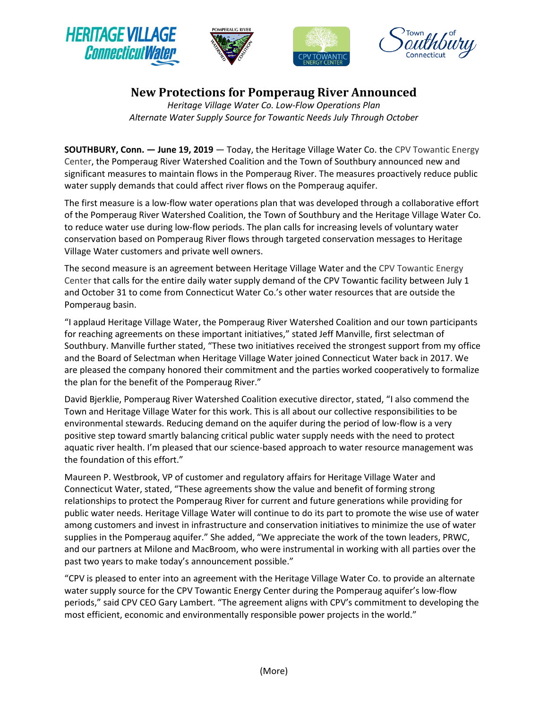







# **New Protections for Pomperaug River Announced**

*Heritage Village Water Co. Low-Flow Operations Plan Alternate Water Supply Source for Towantic Needs July Through October*

**SOUTHBURY, Conn. — June 19, 2019** — Today, the Heritage Village Water Co. the CPV Towantic Energy Center, the Pomperaug River Watershed Coalition and the Town of Southbury announced new and significant measures to maintain flows in the Pomperaug River. The measures proactively reduce public water supply demands that could affect river flows on the Pomperaug aquifer.

The first measure is a low-flow water operations plan that was developed through a collaborative effort of the Pomperaug River Watershed Coalition, the Town of Southbury and the Heritage Village Water Co. to reduce water use during low-flow periods. The plan calls for increasing levels of voluntary water conservation based on Pomperaug River flows through targeted conservation messages to Heritage Village Water customers and private well owners.

The second measure is an agreement between Heritage Village Water and the CPV Towantic Energy Center that calls for the entire daily water supply demand of the CPV Towantic facility between July 1 and October 31 to come from Connecticut Water Co.'s other water resources that are outside the Pomperaug basin.

"I applaud Heritage Village Water, the Pomperaug River Watershed Coalition and our town participants for reaching agreements on these important initiatives," stated Jeff Manville, first selectman of Southbury. Manville further stated, "These two initiatives received the strongest support from my office and the Board of Selectman when Heritage Village Water joined Connecticut Water back in 2017. We are pleased the company honored their commitment and the parties worked cooperatively to formalize the plan for the benefit of the Pomperaug River."

David Bjerklie, Pomperaug River Watershed Coalition executive director, stated, "I also commend the Town and Heritage Village Water for this work. This is all about our collective responsibilities to be environmental stewards. Reducing demand on the aquifer during the period of low-flow is a very positive step toward smartly balancing critical public water supply needs with the need to protect aquatic river health. I'm pleased that our science-based approach to water resource management was the foundation of this effort."

Maureen P. Westbrook, VP of customer and regulatory affairs for Heritage Village Water and Connecticut Water, stated, "These agreements show the value and benefit of forming strong relationships to protect the Pomperaug River for current and future generations while providing for public water needs. Heritage Village Water will continue to do its part to promote the wise use of water among customers and invest in infrastructure and conservation initiatives to minimize the use of water supplies in the Pomperaug aquifer." She added, "We appreciate the work of the town leaders, PRWC, and our partners at Milone and MacBroom, who were instrumental in working with all parties over the past two years to make today's announcement possible."

"CPV is pleased to enter into an agreement with the Heritage Village Water Co. to provide an alternate water supply source for the CPV Towantic Energy Center during the Pomperaug aquifer's low-flow periods," said CPV CEO Gary Lambert. "The agreement aligns with CPV's commitment to developing the most efficient, economic and environmentally responsible power projects in the world."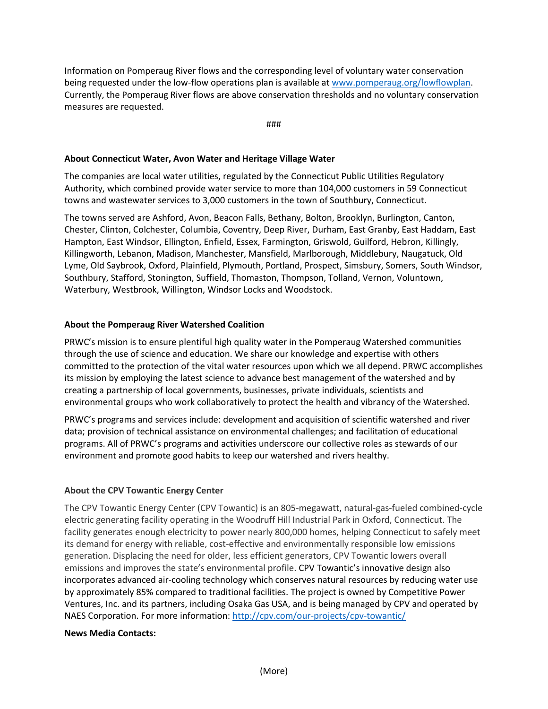Information on Pomperaug River flows and the corresponding level of voluntary water conservation being requested under the low-flow operations plan is available at [www.pomperaug.org/lowflowplan.](http://www.pomperaug.org/lowflowplan) Currently, the Pomperaug River flows are above conservation thresholds and no voluntary conservation measures are requested.

###

#### **About Connecticut Water, Avon Water and Heritage Village Water**

The companies are local water utilities, regulated by the Connecticut Public Utilities Regulatory Authority, which combined provide water service to more than 104,000 customers in 59 Connecticut towns and wastewater services to 3,000 customers in the town of Southbury, Connecticut.

The towns served are Ashford, Avon, Beacon Falls, Bethany, Bolton, Brooklyn, Burlington, Canton, Chester, Clinton, Colchester, Columbia, Coventry, Deep River, Durham, East Granby, East Haddam, East Hampton, East Windsor, Ellington, Enfield, Essex, Farmington, Griswold, Guilford, Hebron, Killingly, Killingworth, Lebanon, Madison, Manchester, Mansfield, Marlborough, Middlebury, Naugatuck, Old Lyme, Old Saybrook, Oxford, Plainfield, Plymouth, Portland, Prospect, Simsbury, Somers, South Windsor, Southbury, Stafford, Stonington, Suffield, Thomaston, Thompson, Tolland, Vernon, Voluntown, Waterbury, Westbrook, Willington, Windsor Locks and Woodstock.

## **About the Pomperaug River Watershed Coalition**

PRWC's mission is to ensure plentiful high quality water in the Pomperaug Watershed communities through the use of science and education. We share our knowledge and expertise with others committed to the protection of the vital water resources upon which we all depend. PRWC accomplishes its mission by employing the latest science to advance best management of the watershed and by creating a partnership of local governments, businesses, private individuals, scientists and environmental groups who work collaboratively to protect the health and vibrancy of the Watershed.

PRWC's programs and services include: development and acquisition of scientific watershed and river data; provision of technical assistance on environmental challenges; and facilitation of educational programs. All of PRWC's programs and activities underscore our collective roles as stewards of our environment and promote good habits to keep our watershed and rivers healthy.

## **About the CPV Towantic Energy Center**

The CPV Towantic Energy Center (CPV Towantic) is an 805-megawatt, natural-gas-fueled combined-cycle electric generating facility operating in the Woodruff Hill Industrial Park in Oxford, Connecticut. The facility generates enough electricity to power nearly 800,000 homes, helping Connecticut to safely meet its demand for energy with reliable, cost-effective and environmentally responsible low emissions generation. Displacing the need for older, less efficient generators, CPV Towantic lowers overall emissions and improves the state's environmental profile. CPV Towantic's innovative design also incorporates advanced air-cooling technology which conserves natural resources by reducing water use by approximately 85% compared to traditional facilities. The project is owned by Competitive Power Ventures, Inc. and its partners, including Osaka Gas USA, and is being managed by CPV and operated by NAES Corporation. For more information: [http://cpv.com/our-projects/cpv-towantic/](https://urldefense.proofpoint.com/v2/url?u=http-3A__cpv.com_our-2Dprojects_cpv-2Dtowantic_&d=DwMFAg&c=NOn-HKiifrKMxS1WLsdH-w&r=sKRRbaO8_XZA6G0-f7_afdkWF6wjzdhHkkSpeR-IDXs&m=F21nGbR75RMQ-eq9Xj4zmskHbs9zN34Q4qiogR4-4C8&s=m8gIy99lsSmgOwmRmIba-JbzbgVAPvtDqdn4xUUUK4Y&e=)

#### **News Media Contacts:**